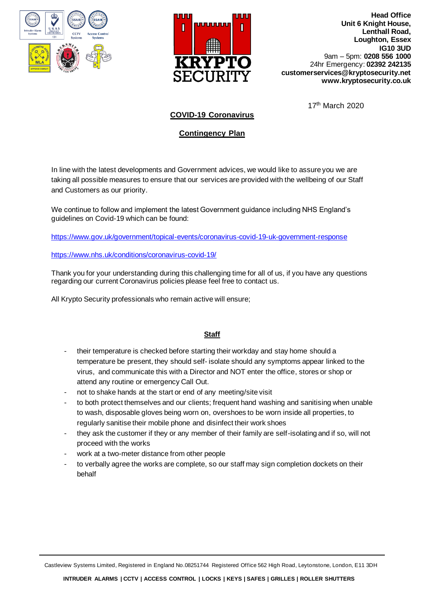



**Head Office Unit 6 Knight House, Lenthall Road, Loughton, Essex IG10 3UD** 9am – 5pm: **0208 556 1000** 24hr Emergency: **02392 242135 customerservices@kryptosecurity.net www.kryptosecurity.co.uk** 

17<sup>th</sup> March 2020

## **COVID-19 Coronavirus**

## **Contingency Plan**

In line with the latest developments and Government advices, we would like to assure you we are taking all possible measures to ensure that our services are provided with the wellbeing of our Staff and Customers as our priority.

We continue to follow and implement the latest Government guidance including NHS England's guidelines on Covid-19 which can be found:

[https://www.gov.uk/government/topical-events/coronavirus-covid-19-uk-government-response](http://trk.klclick1.com/ls/click?upn=DOzf0RmUPBp75vlmcjXfHJM0RR3z7CgOEAEWXs1zSSHwPaJILwnjWrSQV35JXvMSoAvxp-2BsJZCfyPC9JQ4rFhdG5J9RpcEg1W4pAEj8Dhp-2FSJjRU4GwCZ3rmOzN9Ei7pv0kwTyahebgpwXkk30OR8O7MUWoP9xWPAM6iqj-2FFYaSXc6lqNjK9vjRbT-2BnkdeHyxyGVwT00-2BOrY8qWIBXpftSmHJRvJMMSIoz1-2F4D5gVbtNragr153S-2FSAkcoHaVwVY9ozl5Xs0-2FfV8jKcwNcG2C1J0n2cj4r3dfGDGvJp56zKhWLPTHv4oxcZg8xRoRa8m-2BfHomBDUJWGWlGLhFCiceB7sTpfgu8I52aI2VjXzJ2mDaViOeJeiPlv3ZBbtG4bgLV1ZL-2Bn6Xi9-2BeTpZb6ZTG0cmroR-2BEKK4MWdwEHmXfF0-3Dy0ir_Pq3I9Eh0D9rhg7rSp11fzgkdyGh9GnTjT-2FcKrNKh1k6T2pb3fh-2BMCIz4LcP2sDEdGgrA9FcKAC-2FOllmJHoXoGboabJdhf0dpwQup9bSicj54uUPbH9tQ5qWeQgWuiX2DTNDABLnuLGb7W67IXM1VhmtYdHhgkFwS9eFrcO8vVXVEoAc5MRUNIR5p8cHlz9jesmvmDVOrbKJ6zqlKXVCD-2FCRywGMmYC5217vPv5QUItjFrdWhka4Bus8t3k-2B8OfV-2FBHxCMFHjVp30C7TvgZsUIGmIkLYUgHt-2FQg1zlkQyvV5SQ-2FPrbLiuM-2FfJxo3TjsZ5K0yJ0-2BlLuPMqiyq0Pex-2Fi63QhMK1OYOQZGslIHoy0D3zfU-2BzzyggEITzReBem3S9LynI1VrgAFXQelVUwb-2F3yaVy-2FH6qESxXc-2BFfXZ7klEbs0tRUQEjHjw8OJlY5UvrE)

[https://www.nhs.uk/conditions/coronavirus-covid-19/](http://trk.klclick1.com/ls/click?upn=DOzf0RmUPBp75vlmcjXfHHpD-2BlgxLMfpw1Kmafnqt0T2fdBYF7u66mKxf7B7uRpCn0qrem9Qv05-2BlrpgoQ3cM0Lw8UHcDWRLZdPIJGQaUcHw-2Bbc52oc6RDOw3k6Vm-2F-2B5vUzqBwsF4kDk8QfmM-2BKLB977-2BG8QmB9o05kPrMmcqCNp8aIcc6QICEh7imQVNE8EbkKcs-2Fq4Ul-2Boa2Z-2BZX4Bhfw-2FuJBWhN8-2B4ZAuUx0-2BoAW8cTCDZwH8Ihz7vUS92f38k-2BXP6zzr4AdNASasJa90qqtITvrENojwCflaqm8qe58pamY8lq6srxyl4W9Qz3Ivfs5Eqfz0M6At46-2BnDm5TpVlL7HqAQxbjhF67I-2Fo0nNR6LuclHm6JRQbmsjTP9700wUmd_Pq3I9Eh0D9rhg7rSp11fzgkdyGh9GnTjT-2FcKrNKh1k6T2pb3fh-2BMCIz4LcP2sDEdGgrA9FcKAC-2FOllmJHoXoGboabJdhf0dpwQup9bSicj54uUPbH9tQ5qWeQgWuiX2DTNDABLnuLGb7W67IXM1VhmtYdHhgkFwS9eFrcO8vVXVEoAc5MRUNIR5p8cHlz9jesmvmDVOrbKJ6zqlKXVCD-2FCRywGMmYC5217vPv5QUIthhMoLFKptBOqW8rrJ-2FkR2cdrdZxGzLbm2mAMltnFrGmaaCd8eEXpAc6vRcqQDA66cWe2uEb40-2FG7U2pu2BdbgmsMBDvMtNHdstsOPzulC6UynVa5VftIa4PnDClQJEdvgkomXHRgGUWN9ub7xZ9DmFjIAEDtZgql4CjwJ3MZyddVODMGpfoNZIk62xaBPp1FT6DNLo8DUC1-2Fe1Ltfe2bLh)

Thank you for your understanding during this challenging time for all of us, if you have any questions regarding our current Coronavirus policies please feel free to contact us.

All Krypto Security professionals who remain active will ensure;

## **Staff**

- their temperature is checked before starting their workday and stay home should a temperature be present, they should self- isolate should any symptoms appear linked to the virus, and communicate this with a Director and NOT enter the office, stores or shop or attend any routine or emergency Call Out.
- not to shake hands at the start or end of any meeting/site visit
- to both protect themselves and our clients; frequent hand washing and sanitising when unable to wash, disposable gloves being worn on, overshoes to be worn inside all properties, to regularly sanitise their mobile phone and disinfect their work shoes
- they ask the customer if they or any member of their family are self-isolating and if so, will not proceed with the works
- work at a two-meter distance from other people
- to verbally agree the works are complete, so our staff may sign completion dockets on their behalf

Castleview Systems Limited, Registered in England No.08251744 Registered Office 562 High Road, Leytonstone, London, E11 3DH